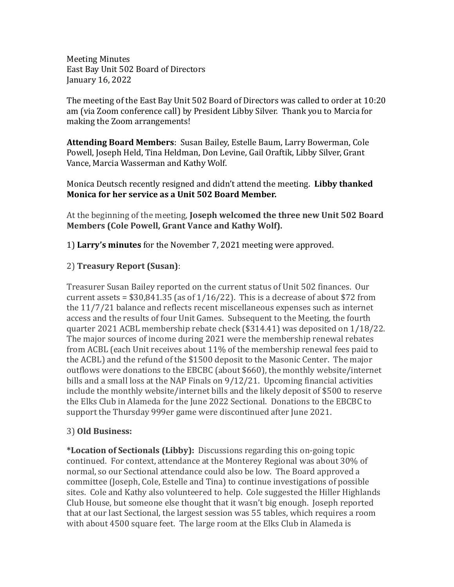Meeting Minutes East Bay Unit 502 Board of Directors January 16, 2022

The meeting of the East Bay Unit 502 Board of Directors was called to order at 10:20 am (via Zoom conference call) by President Libby Silver. Thank you to Marcia for making the Zoom arrangements!

**Attending Board Members**: Susan Bailey, Estelle Baum, Larry Bowerman, Cole Powell, Joseph Held, Tina Heldman, Don Levine, Gail Oraftik, Libby Silver, Grant Vance, Marcia Wasserman and Kathy Wolf.

Monica Deutsch recently resigned and didn't attend the meeting. **Libby thanked Monica for her service as a Unit 502 Board Member.**

At the beginning of the meeting, **Joseph welcomed the three new Unit 502 Board Members (Cole Powell, Grant Vance and Kathy Wolf).** 

1) **Larry's minutes** for the November 7, 2021 meeting were approved.

## 2) **Treasury Report (Susan)**:

Treasurer Susan Bailey reported on the current status of Unit 502 finances. Our current assets =  $$30,841.35$  (as of  $1/16/22$ ). This is a decrease of about \$72 from the 11/7/21 balance and reflects recent miscellaneous expenses such as internet access and the results of four Unit Games. Subsequent to the Meeting, the fourth quarter 2021 ACBL membership rebate check (\$314.41) was deposited on 1/18/22. The major sources of income during 2021 were the membership renewal rebates from ACBL (each Unit receives about 11% of the membership renewal fees paid to the ACBL) and the refund of the \$1500 deposit to the Masonic Center. The major outflows were donations to the EBCBC (about \$660), the monthly website/internet bills and a small loss at the NAP Finals on 9/12/21. Upcoming financial activities include the monthly website/internet bills and the likely deposit of \$500 to reserve the Elks Club in Alameda for the June 2022 Sectional. Donations to the EBCBC to support the Thursday 999er game were discontinued after June 2021.

## 3) **Old Business:**

**\*Location of Sectionals (Libby):** Discussions regarding this on-going topic continued. For context, attendance at the Monterey Regional was about 30% of normal, so our Sectional attendance could also be low. The Board approved a committee (Joseph, Cole, Estelle and Tina) to continue investigations of possible sites. Cole and Kathy also volunteered to help. Cole suggested the Hiller Highlands Club House, but someone else thought that it wasn't big enough. Joseph reported that at our last Sectional, the largest session was 55 tables, which requires a room with about 4500 square feet. The large room at the Elks Club in Alameda is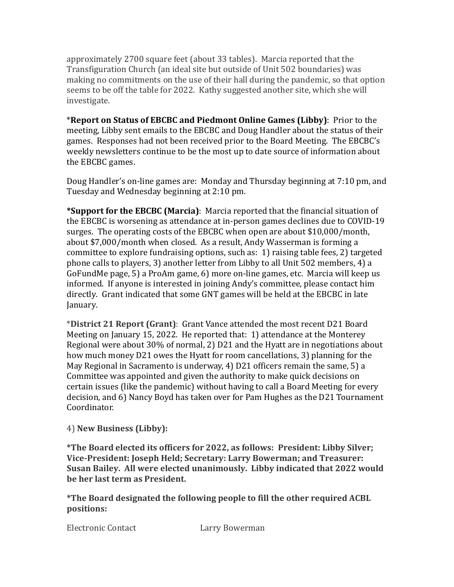approximately 2700 square feet (about 33 tables). Marcia reported that the Transfiguration Church (an ideal site but outside of Unit 502 boundaries) was making no commitments on the use of their hall during the pandemic, so that option seems to be off the table for 2022. Kathy suggested another site, which she will investigate.

\***Report on Status of EBCBC and Piedmont Online Games (Libby)**: Prior to the meeting, Libby sent emails to the EBCBC and Doug Handler about the status of their games. Responses had not been received prior to the Board Meeting. The EBCBC's weekly newsletters continue to be the most up to date source of information about the EBCBC games.

Doug Handler's on-line games are: Monday and Thursday beginning at 7:10 pm, and Tuesday and Wednesday beginning at 2:10 pm.

**\*Support for the EBCBC (Marcia)**: Marcia reported that the financial situation of the EBCBC is worsening as attendance at in-person games declines due to COVID-19 surges. The operating costs of the EBCBC when open are about \$10,000/month, about \$7,000/month when closed. As a result, Andy Wasserman is forming a committee to explore fundraising options, such as: 1) raising table fees, 2) targeted phone calls to players, 3) another letter from Libby to all Unit 502 members, 4) a GoFundMe page, 5) a ProAm game, 6) more on-line games, etc. Marcia will keep us informed. If anyone is interested in joining Andy's committee, please contact him directly. Grant indicated that some GNT games will be held at the EBCBC in late January.

\***District 21 Report (Grant)**: Grant Vance attended the most recent D21 Board Meeting on January 15, 2022. He reported that: 1) attendance at the Monterey Regional were about 30% of normal, 2) D21 and the Hyatt are in negotiations about how much money D21 owes the Hyatt for room cancellations, 3) planning for the May Regional in Sacramento is underway, 4) D21 officers remain the same, 5) a Committee was appointed and given the authority to make quick decisions on certain issues (like the pandemic) without having to call a Board Meeting for every decision, and 6) Nancy Boyd has taken over for Pam Hughes as the D21 Tournament Coordinator.

4) **New Business (Libby):**

**\*The Board elected its officers for 2022, as follows: President: Libby Silver; Vice-President: Joseph Held; Secretary: Larry Bowerman; and Treasurer: Susan Bailey. All were elected unanimously. Libby indicated that 2022 would be her last term as President.**

**\*The Board designated the following people to fill the other required ACBL positions:**

Electronic Contact Larry Bowerman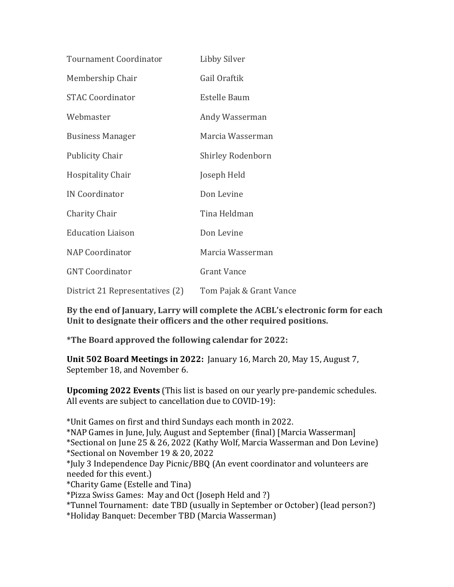| <b>Tournament Coordinator</b>   | Libby Silver             |
|---------------------------------|--------------------------|
| Membership Chair                | Gail Oraftik             |
| <b>STAC Coordinator</b>         | Estelle Baum             |
| Webmaster                       | Andy Wasserman           |
| <b>Business Manager</b>         | Marcia Wasserman         |
| <b>Publicity Chair</b>          | <b>Shirley Rodenborn</b> |
| <b>Hospitality Chair</b>        | Joseph Held              |
| <b>IN Coordinator</b>           | Don Levine               |
| Charity Chair                   | Tina Heldman             |
| <b>Education Liaison</b>        | Don Levine               |
| <b>NAP Coordinator</b>          | Marcia Wasserman         |
| <b>GNT Coordinator</b>          | <b>Grant Vance</b>       |
| District 21 Representatives (2) | Tom Pajak & Grant Vance  |

**By the end of January, Larry will complete the ACBL's electronic form for each Unit to designate their officers and the other required positions.**

**\*The Board approved the following calendar for 2022:**

**Unit 502 Board Meetings in 2022:** January 16, March 20, May 15, August 7, September 18, and November 6.

**Upcoming 2022 Events** (This list is based on our yearly pre-pandemic schedules. All events are subject to cancellation due to COVID-19):

\*Unit Games on first and third Sundays each month in 2022.

\*NAP Games in June, July, August and September (final) [Marcia Wasserman]

\*Sectional on June 25 & 26, 2022 (Kathy Wolf, Marcia Wasserman and Don Levine) \*Sectional on November 19 & 20, 2022

\*July 3 Independence Day Picnic/BBQ (An event coordinator and volunteers are needed for this event.)

\*Charity Game (Estelle and Tina)

\*Pizza Swiss Games: May and Oct (Joseph Held and ?)

\*Tunnel Tournament: date TBD (usually in September or October) (lead person?)

\*Holiday Banquet: December TBD (Marcia Wasserman)